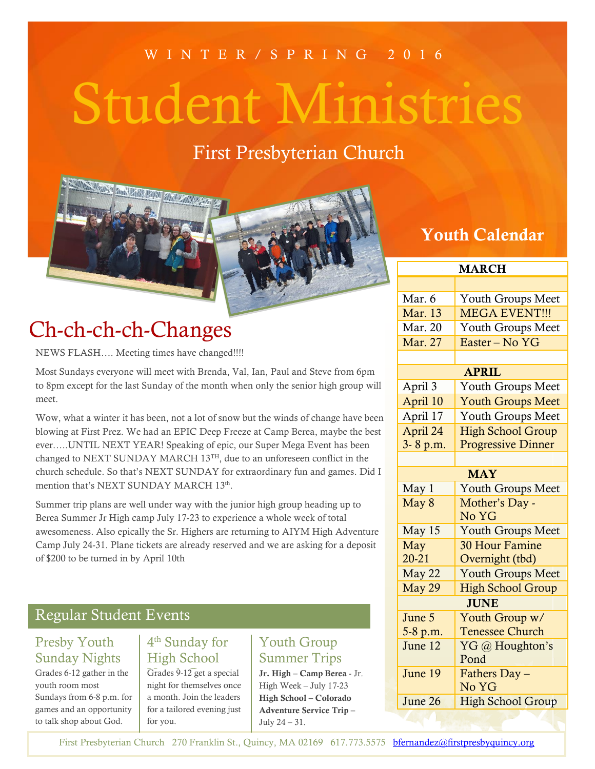#### W I N T E R / S P R I N G 2 0 1 6

# Student Ministries

# First Presbyterian Church



# Ch-ch-ch-ch-Changes

NEWS FLASH…. Meeting times have changed!!!!

Most Sundays everyone will meet with Brenda, Val, Ian, Paul and Steve from 6pm to 8pm except for the last Sunday of the month when only the senior high group will meet.

Wow, what a winter it has been, not a lot of snow but the winds of change have been blowing at First Prez. We had an EPIC Deep Freeze at Camp Berea, maybe the best ever…..UNTIL NEXT YEAR! Speaking of epic, our Super Mega Event has been changed to NEXT SUNDAY MARCH 13<sup>TH</sup>, due to an unforeseen conflict in the church schedule. So that's NEXT SUNDAY for extraordinary fun and games. Did I mention that's NEXT SUNDAY MARCH 13th.

Summer trip plans are well under way with the junior high group heading up to Berea Summer Jr High camp July 17-23 to experience a whole week of total awesomeness. Also epically the Sr. Highers are returning to AIYM High Adventure Camp July 24-31. Plane tickets are already reserved and we are asking for a deposit of \$200 to be turned in by April 10th

#### Regular Student Events

#### Presby Youth Sunday Nights

Grades 6-12 gather in the youth room most Sundays from 6-8 p.m. for games and an opportunity to talk shop about God.

#### 4 th Sunday for High School

 $\overline{Grades}$  9-12 get a special night for themselves once a month. Join the leaders for a tailored evening just for you.

### Youth Group Summer Trips

**Jr. High – Camp Berea** - Jr. High Week – July 17-23 **High School – Colorado Adventure Service Trip –** July 24 – 31.

## **Youth Calendar**

| <b>MARCH</b>   |                           |
|----------------|---------------------------|
|                |                           |
| Mar. 6         | Youth Groups Meet         |
| <b>Mar.</b> 13 | MEGA EVENT!!!             |
| Mar. 20        | Youth Groups Meet         |
| Mar. 27        | Easter - No YG            |
|                |                           |
| <b>APRIL</b>   |                           |
| April 3        | Youth Groups Meet         |
| April 10       | <b>Youth Groups Meet</b>  |
| April 17       | Youth Groups Meet         |
| April 24       | <b>High School Group</b>  |
| 3-8 p.m.       | <b>Progressive Dinner</b> |
|                |                           |
| <b>MAY</b>     |                           |
| May 1          | <b>Youth Groups Meet</b>  |
| May 8          | Mother's Day -            |
|                | No YG                     |
| May 15         | <b>Youth Groups Meet</b>  |
| May            | <b>30 Hour Famine</b>     |
| $20 - 21$      | Overnight (tbd)           |
| May 22         | <b>Youth Groups Meet</b>  |
| May 29         | <b>High School Group</b>  |
| <b>JUNE</b>    |                           |
| June 5         | Youth Group w/            |
| 5-8 p.m.       | <b>Tenessee Church</b>    |
| June 12        | YG @ Houghton's<br>Pond   |
|                |                           |
| June 19        | Fathers Day -<br>No YG    |
| June 26        | <b>High School Group</b>  |
|                |                           |

First Presbyterian Church 270 Franklin St., Quincy, MA 02169 617.773.5575 [bfernandez@firstpresbyquincy.org](mailto:bfernandez@firstpresbyquincy.org)